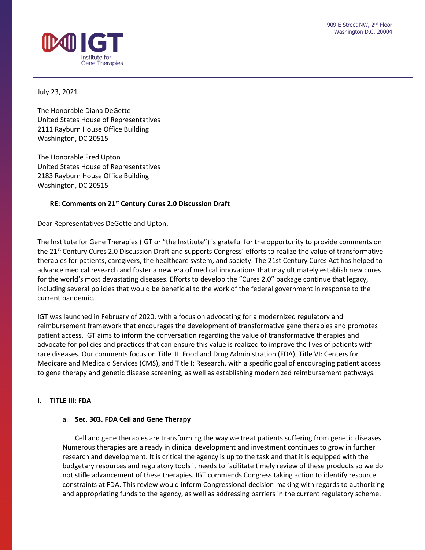

July 23, 2021

The Honorable Diana DeGette United States House of Representatives 2111 Rayburn House Office Building Washington, DC 20515

The Honorable Fred Upton United States House of Representatives 2183 Rayburn House Office Building Washington, DC 20515

# **RE: Comments on 21st Century Cures 2.0 Discussion Draft**

Dear Representatives DeGette and Upton,

The Institute for Gene Therapies (IGT or "the Institute") is grateful for the opportunity to provide comments on the 21<sup>st</sup> Century Cures 2.0 Discussion Draft and supports Congress' efforts to realize the value of transformative therapies for patients, caregivers, the healthcare system, and society. The 21st Century Cures Act has helped to advance medical research and foster a new era of medical innovations that may ultimately establish new cures for the world's most devastating diseases. Efforts to develop the "Cures 2.0" package continue that legacy, including several policies that would be beneficial to the work of the federal government in response to the current pandemic.

IGT was launched in February of 2020, with a focus on advocating for a modernized regulatory and reimbursement framework that encourages the development of transformative gene therapies and promotes patient access. IGT aims to inform the conversation regarding the value of transformative therapies and advocate for policies and practices that can ensure this value is realized to improve the lives of patients with rare diseases. Our comments focus on Title III: Food and Drug Administration (FDA), Title VI: Centers for Medicare and Medicaid Services (CMS), and Title I: Research, with a specific goal of encouraging patient access to gene therapy and genetic disease screening, as well as establishing modernized reimbursement pathways.

# **I. TITLE III: FDA**

## a. **Sec. 303. FDA Cell and Gene Therapy**

Cell and gene therapies are transforming the way we treat patients suffering from genetic diseases. Numerous therapies are already in clinical development and investment continues to grow in further research and development. It is critical the agency is up to the task and that it is equipped with the budgetary resources and regulatory tools it needs to facilitate timely review of these products so we do not stifle advancement of these therapies. IGT commends Congress taking action to identify resource constraints at FDA. This review would inform Congressional decision-making with regards to authorizing and appropriating funds to the agency, as well as addressing barriers in the current regulatory scheme.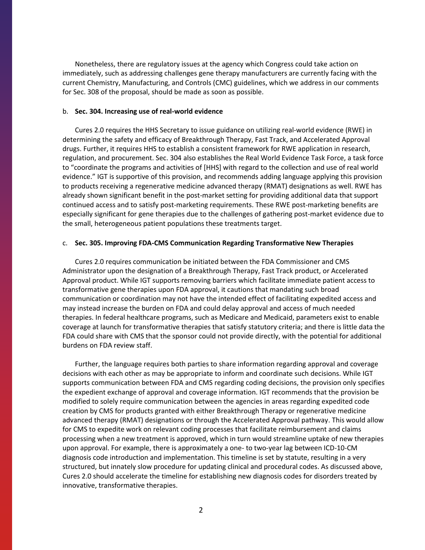Nonetheless, there are regulatory issues at the agency which Congress could take action on immediately, such as addressing challenges gene therapy manufacturers are currently facing with the current Chemistry, Manufacturing, and Controls (CMC) guidelines, which we address in our comments for Sec. 308 of the proposal, should be made as soon as possible.

#### b. **Sec. 304. Increasing use of real-world evidence**

Cures 2.0 requires the HHS Secretary to issue guidance on utilizing real-world evidence (RWE) in determining the safety and efficacy of Breakthrough Therapy, Fast Track, and Accelerated Approval drugs. Further, it requires HHS to establish a consistent framework for RWE application in research, regulation, and procurement. Sec. 304 also establishes the Real World Evidence Task Force, a task force to "coordinate the programs and activities of [HHS] with regard to the collection and use of real world evidence." IGT is supportive of this provision, and recommends adding language applying this provision to products receiving a regenerative medicine advanced therapy (RMAT) designations as well. RWE has already shown significant benefit in the post-market setting for providing additional data that support continued access and to satisfy post-marketing requirements. These RWE post-marketing benefits are especially significant for gene therapies due to the challenges of gathering post-market evidence due to the small, heterogeneous patient populations these treatments target.

## c. **Sec. 305. Improving FDA-CMS Communication Regarding Transformative New Therapies**

Cures 2.0 requires communication be initiated between the FDA Commissioner and CMS Administrator upon the designation of a Breakthrough Therapy, Fast Track product, or Accelerated Approval product. While IGT supports removing barriers which facilitate immediate patient access to transformative gene therapies upon FDA approval, it cautions that mandating such broad communication or coordination may not have the intended effect of facilitating expedited access and may instead increase the burden on FDA and could delay approval and access of much needed therapies. In federal healthcare programs, such as Medicare and Medicaid, parameters exist to enable coverage at launch for transformative therapies that satisfy statutory criteria; and there is little data the FDA could share with CMS that the sponsor could not provide directly, with the potential for additional burdens on FDA review staff.

Further, the language requires both parties to share information regarding approval and coverage decisions with each other as may be appropriate to inform and coordinate such decisions. While IGT supports communication between FDA and CMS regarding coding decisions, the provision only specifies the expedient exchange of approval and coverage information. IGT recommends that the provision be modified to solely require communication between the agencies in areas regarding expedited code creation by CMS for products granted with either Breakthrough Therapy or regenerative medicine advanced therapy (RMAT) designations or through the Accelerated Approval pathway. This would allow for CMS to expedite work on relevant coding processes that facilitate reimbursement and claims processing when a new treatment is approved, which in turn would streamline uptake of new therapies upon approval. For example, there is approximately a one- to two-year lag between ICD-10-CM diagnosis code introduction and implementation. This timeline is set by statute, resulting in a very structured, but innately slow procedure for updating clinical and procedural codes. As discussed above, Cures 2.0 should accelerate the timeline for establishing new diagnosis codes for disorders treated by innovative, transformative therapies.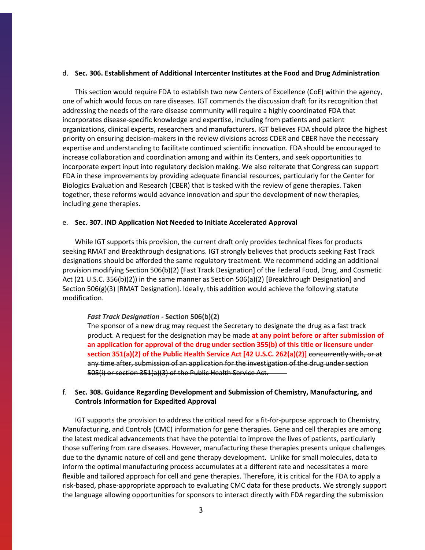## d. **Sec. 306. Establishment of Additional Intercenter Institutes at the Food and Drug Administration**

This section would require FDA to establish two new Centers of Excellence (CoE) within the agency, one of which would focus on rare diseases. IGT commends the discussion draft for its recognition that addressing the needs of the rare disease community will require a highly coordinated FDA that incorporates disease-specific knowledge and expertise, including from patients and patient organizations, clinical experts, researchers and manufacturers. IGT believes FDA should place the highest priority on ensuring decision-makers in the review divisions across CDER and CBER have the necessary expertise and understanding to facilitate continued scientific innovation. FDA should be encouraged to increase collaboration and coordination among and within its Centers, and seek opportunities to incorporate expert input into regulatory decision making. We also reiterate that Congress can support FDA in these improvements by providing adequate financial resources, particularly for the Center for Biologics Evaluation and Research (CBER) that is tasked with the review of gene therapies. Taken together, these reforms would advance innovation and spur the development of new therapies, including gene therapies.

## e. **Sec. 307. IND Application Not Needed to Initiate Accelerated Approval**

While IGT supports this provision, the current draft only provides technical fixes for products seeking RMAT and Breakthrough designations. IGT strongly believes that products seeking Fast Track designations should be afforded the same regulatory treatment. We recommend adding an additional provision modifying Section 506(b)(2) [Fast Track Designation] of the Federal Food, Drug, and Cosmetic Act (21 U.S.C. 356(b)(2)) in the same manner as Section 506(a)(2) [Breakthrough Designation] and Section 506(g)(3) [RMAT Designation]. Ideally, this addition would achieve the following statute modification.

## *Fast Track Designation -* **Section 506(b)(2)**

The sponsor of a new drug may request the Secretary to designate the drug as a fast track product. A request for the designation may be made **at any point before or after submission of an application for approval of the drug under section 355(b) of this title or licensure under**  section 351(a)(2) of the Public Health Service Act [42 U.S.C. 262(a)(2)] <del>concurrently with, or at</del> any time after, submission of an application for the investigation of the drug under section 505(i) or section 351(a)(3) of the Public Health Service Act.

# f. **Sec. 308. Guidance Regarding Development and Submission of Chemistry, Manufacturing, and Controls Information for Expedited Approval**

IGT supports the provision to address the critical need for a fit-for-purpose approach to Chemistry, Manufacturing, and Controls (CMC) information for gene therapies. Gene and cell therapies are among the latest medical advancements that have the potential to improve the lives of patients, particularly those suffering from rare diseases. However, manufacturing these therapies presents unique challenges due to the dynamic nature of cell and gene therapy development. Unlike for small molecules, data to inform the optimal manufacturing process accumulates at a different rate and necessitates a more flexible and tailored approach for cell and gene therapies. Therefore, it is critical for the FDA to apply a risk-based, phase-appropriate approach to evaluating CMC data for these products. We strongly support the language allowing opportunities for sponsors to interact directly with FDA regarding the submission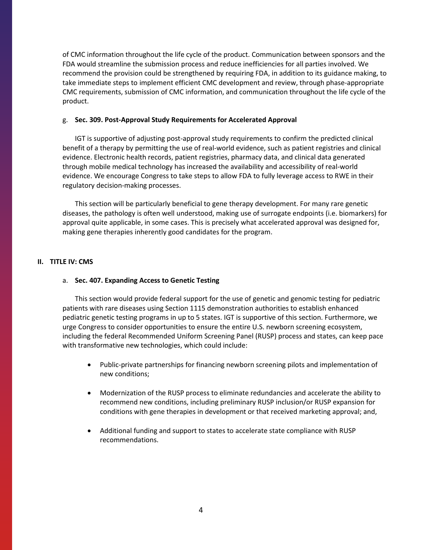of CMC information throughout the life cycle of the product. Communication between sponsors and the FDA would streamline the submission process and reduce inefficiencies for all parties involved. We recommend the provision could be strengthened by requiring FDA, in addition to its guidance making, to take immediate steps to implement efficient CMC development and review, through phase-appropriate CMC requirements, submission of CMC information, and communication throughout the life cycle of the product.

#### g. **Sec. 309. Post-Approval Study Requirements for Accelerated Approval**

IGT is supportive of adjusting post-approval study requirements to confirm the predicted clinical benefit of a therapy by permitting the use of real-world evidence, such as patient registries and clinical evidence. Electronic health records, patient registries, pharmacy data, and clinical data generated through mobile medical technology has increased the availability and accessibility of real-world evidence. We encourage Congress to take steps to allow FDA to fully leverage access to RWE in their regulatory decision-making processes.

This section will be particularly beneficial to gene therapy development. For many rare genetic diseases, the pathology is often well understood, making use of surrogate endpoints (i.e. biomarkers) for approval quite applicable, in some cases. This is precisely what accelerated approval was designed for, making gene therapies inherently good candidates for the program.

## **II. TITLE IV: CMS**

#### a. **Sec. 407. Expanding Access to Genetic Testing**

This section would provide federal support for the use of genetic and genomic testing for pediatric patients with rare diseases using Section 1115 demonstration authorities to establish enhanced pediatric genetic testing programs in up to 5 states. IGT is supportive of this section. Furthermore, we urge Congress to consider opportunities to ensure the entire U.S. newborn screening ecosystem, including the federal Recommended Uniform Screening Panel (RUSP) process and states, can keep pace with transformative new technologies, which could include:

- Public-private partnerships for financing newborn screening pilots and implementation of new conditions;
- Modernization of the RUSP process to eliminate redundancies and accelerate the ability to recommend new conditions, including preliminary RUSP inclusion/or RUSP expansion for conditions with gene therapies in development or that received marketing approval; and,
- Additional funding and support to states to accelerate state compliance with RUSP recommendations.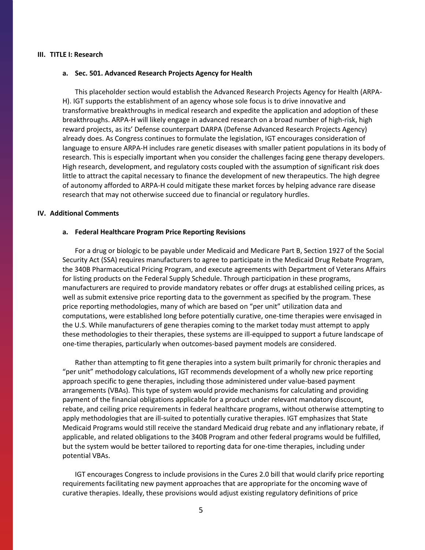#### **III. TITLE I: Research**

## **a. Sec. 501. Advanced Research Projects Agency for Health**

This placeholder section would establish the Advanced Research Projects Agency for Health (ARPA-H). IGT supports the establishment of an agency whose sole focus is to drive innovative and transformative breakthroughs in medical research and expedite the application and adoption of these breakthroughs. ARPA-H will likely engage in advanced research on a broad number of high-risk, high reward projects, as its' Defense counterpart DARPA (Defense Advanced Research Projects Agency) already does. As Congress continues to formulate the legislation, IGT encourages consideration of language to ensure ARPA-H includes rare genetic diseases with smaller patient populations in its body of research. This is especially important when you consider the challenges facing gene therapy developers. High research, development, and regulatory costs coupled with the assumption of significant risk does little to attract the capital necessary to finance the development of new therapeutics. The high degree of autonomy afforded to ARPA-H could mitigate these market forces by helping advance rare disease research that may not otherwise succeed due to financial or regulatory hurdles.

## **IV. Additional Comments**

#### **a. Federal Healthcare Program Price Reporting Revisions**

For a drug or biologic to be payable under Medicaid and Medicare Part B, Section 1927 of the Social Security Act (SSA) requires manufacturers to agree to participate in the Medicaid Drug Rebate Program, the 340B Pharmaceutical Pricing Program, and execute agreements with Department of Veterans Affairs for listing products on the Federal Supply Schedule. Through participation in these programs, manufacturers are required to provide mandatory rebates or offer drugs at established ceiling prices, as well as submit extensive price reporting data to the government as specified by the program. These price reporting methodologies, many of which are based on "per unit" utilization data and computations, were established long before potentially curative, one-time therapies were envisaged in the U.S. While manufacturers of gene therapies coming to the market today must attempt to apply these methodologies to their therapies, these systems are ill-equipped to support a future landscape of one-time therapies, particularly when outcomes-based payment models are considered.

Rather than attempting to fit gene therapies into a system built primarily for chronic therapies and "per unit" methodology calculations, IGT recommends development of a wholly new price reporting approach specific to gene therapies, including those administered under value-based payment arrangements (VBAs). This type of system would provide mechanisms for calculating and providing payment of the financial obligations applicable for a product under relevant mandatory discount, rebate, and ceiling price requirements in federal healthcare programs, without otherwise attempting to apply methodologies that are ill-suited to potentially curative therapies. IGT emphasizes that State Medicaid Programs would still receive the standard Medicaid drug rebate and any inflationary rebate, if applicable, and related obligations to the 340B Program and other federal programs would be fulfilled, but the system would be better tailored to reporting data for one-time therapies, including under potential VBAs.

IGT encourages Congress to include provisions in the Cures 2.0 bill that would clarify price reporting requirements facilitating new payment approaches that are appropriate for the oncoming wave of curative therapies. Ideally, these provisions would adjust existing regulatory definitions of price